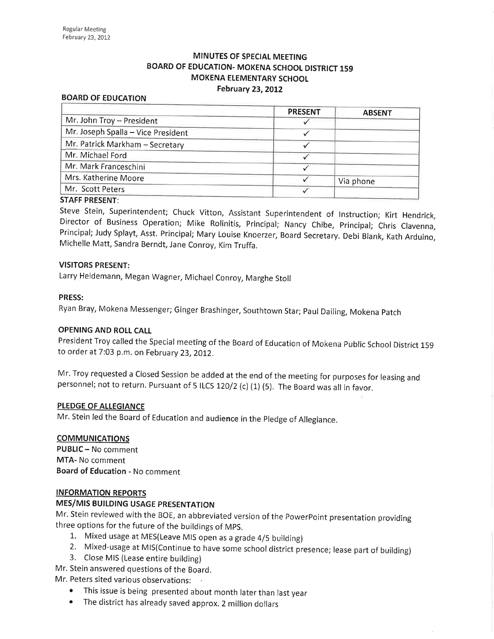# MINUTES OF SPECIAL MEETING BOARD OF EDUCATION- MOKENA SCHOOL DISTRICT 159 MOKENA ELEMENTARY SCHOOL February 23, 2012

#### BOARD OF EDUCATION

|                                    | <b>PRESENT</b> | <b>ABSENT</b> |
|------------------------------------|----------------|---------------|
| Mr. John Troy - President          |                |               |
| Mr. Joseph Spalla - Vice President |                |               |
| Mr. Patrick Markham - Secretary    |                |               |
| Mr. Michael Ford                   |                |               |
| Mr. Mark Franceschini              |                |               |
| Mrs. Katherine Moore               |                | Via phone     |
| Mr. Scott Peters                   |                |               |
| <b>CTALE DOECENT.</b>              |                |               |

#### STAFF PRESENT:

Steve Stein, Superintendent; Chuck Vitton, Assistant Superintendent of lnstruction; Kirt Hendrick, Director of Business Operation; Mike Rolinitis, Principal; Nancy Chibe, principal; Chris clavenna, Principal; Judy Splayt, Asst. Principal; Mary Louise Knoerzer, Board Secretary. Debi Blank, Kath Arduino, Michelle Matt, Sandra Berndt, Jane Conroy, Kim Truffa.

#### VISITORS PRESENT:

Larry Heidemann, Megan Wagner, MichaelConroy, Marghe Stoll

#### PRESS:

Ryan Bray, Mokena Messenger; Ginger Brashinger, Southtown Star; paul Dailing, Mokena patch

#### OPENING AND ROLL CALL

President Troy called the special meeting of the Board of Education of Mokena public school District 15g to order at 7:03 p.m. on February 23,2012.

Mr. Troy requested a Closed Session be added at the end of the meeting for purposes for leasing and personnel; not to return. Pursuant of 5 ILCS 120/2 (c) (1) (5). The Board was all in favor.

#### PLEDGE OF ALLEGIANCE

Mr. stein led the Board of Education and audience in the pledge of Allegiance.

#### **COMMUNICATIONS**

PUBLIC - No comment MTA- No comment Board of Education - No comment

#### INFORMATION REPORTS

### **MES/MIS BUILDING USAGE PRESENTATION**

Mr. Stein reviewed with the BOE, an abbreviated version of the PowerPoint presentation providing three options for the future of the buildings of MPS.<br>1. Mixed usage at MES(Leave MIS open as a grade 4/5 building)

- 
- 2. Mixed-usage at MIS(Continue to have some school district presence; lease part of building) 3. Close MIS (Lease entire building)
- 

Mr. Stein answered questions of the Board.

Mr. Peters sited various observations:

- o This issue is being presented about month later than last year
- o The district has already saved approx. 2 million dollars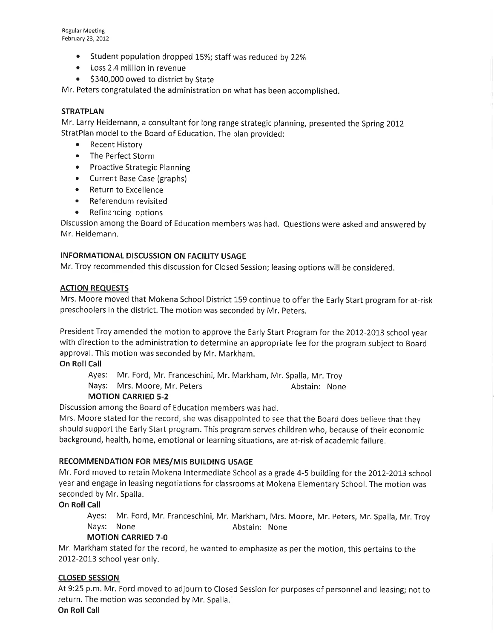- Student population dropped 15%; staff was reduced by 22%
- Loss 2.4 million in revenue
- \$340,000 owed to district by State

Mr. Peters congratulated the administration on what has been accomplished.

## **STRATPLAN**

Mr. Larry Heidemann, a consultant for long range strategic planning, presented the Spring 2012 StratPlan model to the Board of Education, The plan provided:

- Recent History
- . The Perfect Storm
- Proactive Strategic Planning
- Current Base Case (graphs)
- Return to Excellence
- . Referendum revisited
- Refinancing options

Discussion among the Board of Education members was had. Questions were asked and answered by Mr. Heidemann.

# INFORMATIONAL DISCUSSION ON FACILITY USAGE

Mr. Troy recommended this discussion for Closed Session; leasing options will be considered.

### ACTION REQUESTS

Mrs. Moore moved that Mokena School District 159 continue to offer the Early Start program for at-risk preschoolers in the district. The motion was seconded by Mr. Peters.

President Troy amended the motion to approve the Early Start Program for the 2012-2013 school year with direction to the administration to determine an appropriate fee for the program subject to Board approval. This motion was seconded by Mr. Markham.

#### **On Roll Call**

Ayes: Mr. Ford, Mr. Franceschini, Mr. Markham, Mr. Spalla, Mr. Troy

Nays: Mrs. Moore, Mr. Peters Abstain: None

# MOTION CARRIED 5-2

Discussion among the Board of Education members was had.

Mrs. Moore stated for the record, she was disappointed to see that the Board does believe that they should support the Early Start program. This program serves children who, because of their economic background, health, home, emotional or learning situations, are at-risk of academic failure.

# RECOMMENDATION FOR MES/MIS BUILDING USAGE

Mr. Ford moved to retain Mokena lntermediate School as a grade 4-5 building for the 2012-2013 school year and engage in leasing negotiations for classrooms at Mokena Elementary School. The motion was seconded by Mr. Spalla.

# On Roll Call

Ayes: Mr. Ford, Mr. Franceschini, Mr. Markham, Mrs. Moore, Mr. Peters, Mr. Spalla, Mr. Troy Nays: None **Abstain:** None

# MOTION CARRIED 7-O

Mr. Markham stated for the record, he wanted to emphasize as per the motion, this pertains to the 2012-2013 school year only.

# CLOSED SESSION

At 9:25 p.m. Mr. Ford moved to adjourn to Closed Session for purposes of personnel and leasing; not to return. The motion was seconded by Mr. Spalla.

On Roll Call